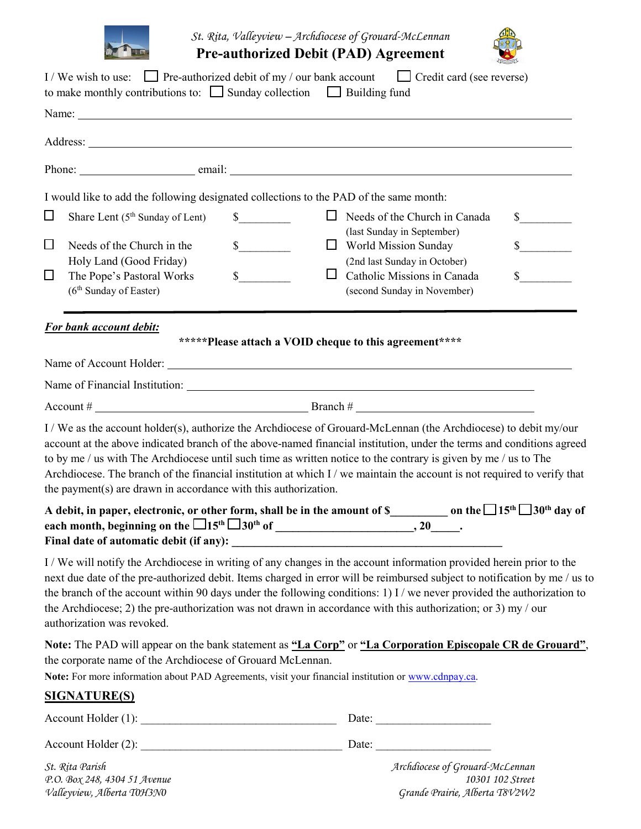

*St. Rita, Valleyview – Archdiocese of Grouard-McLennan* **Pre-authorized Debit (PAD) Agreement** 



|        |                                                                 | I/We wish to use: Pre-authorized debit of my / our bank account $\Box$ Credit card (see reverse)<br>to make monthly contributions to: $\Box$ Sunday collection $\Box$ Building fund                                                                                                                                                                                                                                                                                                         |
|--------|-----------------------------------------------------------------|---------------------------------------------------------------------------------------------------------------------------------------------------------------------------------------------------------------------------------------------------------------------------------------------------------------------------------------------------------------------------------------------------------------------------------------------------------------------------------------------|
|        |                                                                 |                                                                                                                                                                                                                                                                                                                                                                                                                                                                                             |
|        |                                                                 |                                                                                                                                                                                                                                                                                                                                                                                                                                                                                             |
|        |                                                                 |                                                                                                                                                                                                                                                                                                                                                                                                                                                                                             |
|        |                                                                 | I would like to add the following designated collections to the PAD of the same month:                                                                                                                                                                                                                                                                                                                                                                                                      |
| $\Box$ | Share Lent (5 <sup>th</sup> Sunday of Lent)                     | $\Box$ Needs of the Church in Canada<br>$\mathbb{S}$<br>$\frac{\text{S}}{\text{S}}$<br>(last Sunday in September)                                                                                                                                                                                                                                                                                                                                                                           |
| $\Box$ | Needs of the Church in the<br>Holy Land (Good Friday)           | $\mathbb{S}$<br>$\frac{\sqrt{2}}{2}$<br>$\Box$ World Mission Sunday<br>(2nd last Sunday in October)                                                                                                                                                                                                                                                                                                                                                                                         |
| $\Box$ | The Pope's Pastoral Works<br>(6 <sup>th</sup> Sunday of Easter) | $s$ <sub>____</sub><br>$\sim$<br>Ш<br>Catholic Missions in Canada<br>(second Sunday in November)                                                                                                                                                                                                                                                                                                                                                                                            |
|        | For bank account debit:                                         |                                                                                                                                                                                                                                                                                                                                                                                                                                                                                             |
|        |                                                                 | *****Please attach a VOID cheque to this agreement****                                                                                                                                                                                                                                                                                                                                                                                                                                      |
|        |                                                                 | Name of Financial Institution: 1986 and 2008 and 2008 and 2008 and 2008 and 2008 and 2008 and 2008 and 2008 and 2008 and 2008 and 2008 and 2008 and 2008 and 2008 and 2008 and 2008 and 2008 and 2008 and 2008 and 2008 and 20                                                                                                                                                                                                                                                              |
|        |                                                                 |                                                                                                                                                                                                                                                                                                                                                                                                                                                                                             |
|        | the payment(s) are drawn in accordance with this authorization. | I / We as the account holder(s), authorize the Archdiocese of Grouard-McLennan (the Archdiocese) to debit my/our<br>account at the above indicated branch of the above-named financial institution, under the terms and conditions agreed<br>to by me / us with The Archdiocese until such time as written notice to the contrary is given by me / us to The<br>Archdiocese. The branch of the financial institution at which I / we maintain the account is not required to verify that    |
|        |                                                                 | A debit, in paper, electronic, or other form, shall be in the amount of \$____________ on the $\Box$ 15 <sup>th</sup> $\Box$ 30 <sup>th</sup> day of                                                                                                                                                                                                                                                                                                                                        |
|        | authorization was revoked.                                      | I/We will notify the Archdiocese in writing of any changes in the account information provided herein prior to the<br>next due date of the pre-authorized debit. Items charged in error will be reimbursed subject to notification by me / us to<br>the branch of the account within 90 days under the following conditions: 1) I / we never provided the authorization to<br>the Archdiocese; 2) the pre-authorization was not drawn in accordance with this authorization; or 3) my / our |
|        | the corporate name of the Archdiocese of Grouard McLennan.      | Note: The PAD will appear on the bank statement as "La Corp" or "La Corporation Episcopale CR de Grouard",<br>Note: For more information about PAD Agreements, visit your financial institution or www.cdnpay.ca.                                                                                                                                                                                                                                                                           |
|        | <b>SIGNATURE(S)</b>                                             |                                                                                                                                                                                                                                                                                                                                                                                                                                                                                             |
|        |                                                                 |                                                                                                                                                                                                                                                                                                                                                                                                                                                                                             |
|        |                                                                 |                                                                                                                                                                                                                                                                                                                                                                                                                                                                                             |
|        | St. Rita Parish                                                 | Archdiocese of Grouard-McLennan                                                                                                                                                                                                                                                                                                                                                                                                                                                             |

*P.O. Box 248, 4304 51 Avenue 10301 102 Street Valleyview, Alberta T0H3N0 Grande Prairie, Alberta T8V2W2*